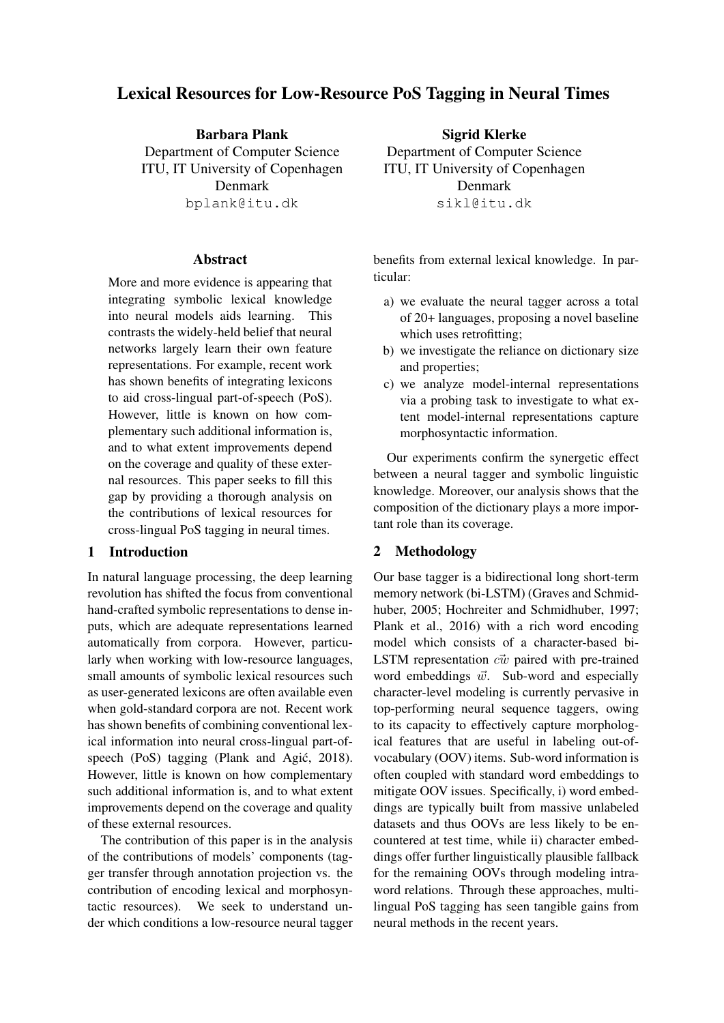# Lexical Resources for Low-Resource PoS Tagging in Neural Times

Barbara Plank Department of Computer Science ITU, IT University of Copenhagen Denmark bplank@itu.dk

## Abstract

More and more evidence is appearing that integrating symbolic lexical knowledge into neural models aids learning. This contrasts the widely-held belief that neural networks largely learn their own feature representations. For example, recent work has shown benefits of integrating lexicons to aid cross-lingual part-of-speech (PoS). However, little is known on how complementary such additional information is, and to what extent improvements depend on the coverage and quality of these external resources. This paper seeks to fill this gap by providing a thorough analysis on the contributions of lexical resources for cross-lingual PoS tagging in neural times.

# 1 Introduction

In natural language processing, the deep learning revolution has shifted the focus from conventional hand-crafted symbolic representations to dense inputs, which are adequate representations learned automatically from corpora. However, particularly when working with low-resource languages, small amounts of symbolic lexical resources such as user-generated lexicons are often available even when gold-standard corpora are not. Recent work has shown benefits of combining conventional lexical information into neural cross-lingual part-ofspeech (PoS) tagging (Plank and Agić, 2018). However, little is known on how complementary such additional information is, and to what extent improvements depend on the coverage and quality of these external resources.

The contribution of this paper is in the analysis of the contributions of models' components (tagger transfer through annotation projection vs. the contribution of encoding lexical and morphosyntactic resources). We seek to understand under which conditions a low-resource neural tagger

Sigrid Klerke Department of Computer Science ITU, IT University of Copenhagen Denmark sikl@itu.dk

benefits from external lexical knowledge. In particular:

- a) we evaluate the neural tagger across a total of 20+ languages, proposing a novel baseline which uses retrofitting;
- b) we investigate the reliance on dictionary size and properties;
- c) we analyze model-internal representations via a probing task to investigate to what extent model-internal representations capture morphosyntactic information.

Our experiments confirm the synergetic effect between a neural tagger and symbolic linguistic knowledge. Moreover, our analysis shows that the composition of the dictionary plays a more important role than its coverage.

## 2 Methodology

Our base tagger is a bidirectional long short-term memory network (bi-LSTM) (Graves and Schmidhuber, 2005; Hochreiter and Schmidhuber, 1997; Plank et al., 2016) with a rich word encoding model which consists of a character-based bi-LSTM representation  $c\vec{w}$  paired with pre-trained word embeddings  $\vec{w}$ . Sub-word and especially character-level modeling is currently pervasive in top-performing neural sequence taggers, owing to its capacity to effectively capture morphological features that are useful in labeling out-ofvocabulary (OOV) items. Sub-word information is often coupled with standard word embeddings to mitigate OOV issues. Specifically, i) word embeddings are typically built from massive unlabeled datasets and thus OOVs are less likely to be encountered at test time, while ii) character embeddings offer further linguistically plausible fallback for the remaining OOVs through modeling intraword relations. Through these approaches, multilingual PoS tagging has seen tangible gains from neural methods in the recent years.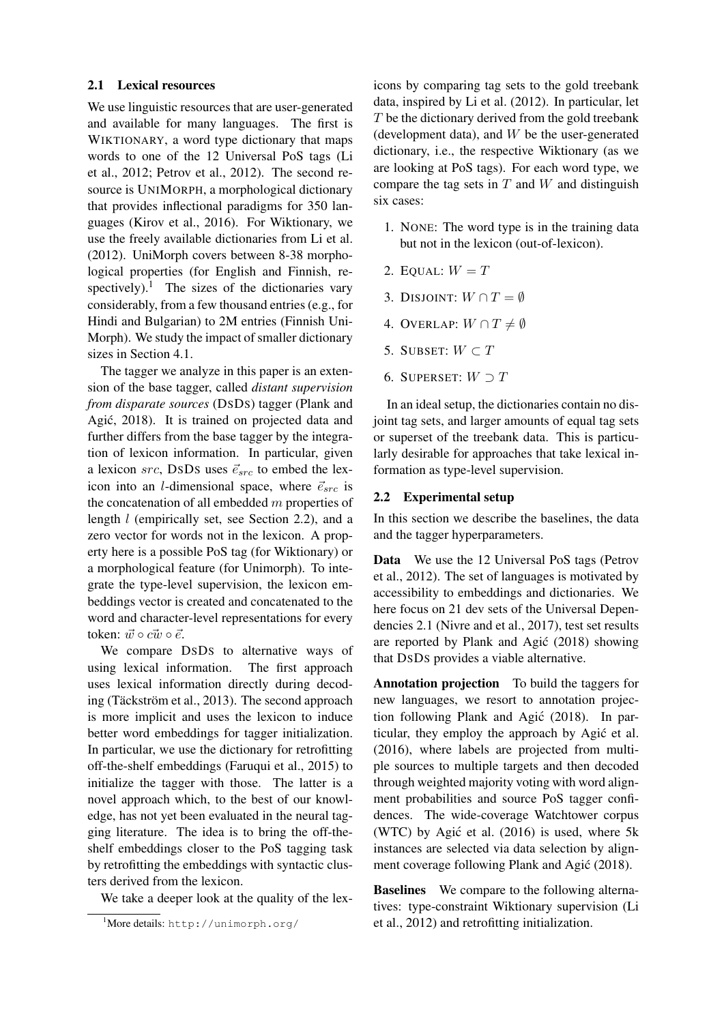#### 2.1 Lexical resources

We use linguistic resources that are user-generated and available for many languages. The first is WIKTIONARY, a word type dictionary that maps words to one of the 12 Universal PoS tags (Li et al., 2012; Petrov et al., 2012). The second resource is UNIMORPH, a morphological dictionary that provides inflectional paradigms for 350 languages (Kirov et al., 2016). For Wiktionary, we use the freely available dictionaries from Li et al. (2012). UniMorph covers between 8-38 morphological properties (for English and Finnish, respectively).<sup>1</sup> The sizes of the dictionaries vary considerably, from a few thousand entries (e.g., for Hindi and Bulgarian) to 2M entries (Finnish Uni-Morph). We study the impact of smaller dictionary sizes in Section 4.1.

The tagger we analyze in this paper is an extension of the base tagger, called *distant supervision from disparate sources* (DSDS) tagger (Plank and Agić, 2018). It is trained on projected data and further differs from the base tagger by the integration of lexicon information. In particular, given a lexicon src, DSDS uses  $\vec{e}_{src}$  to embed the lexicon into an *l*-dimensional space, where  $\vec{e}_{src}$  is the concatenation of all embedded  $m$  properties of length l (empirically set, see Section 2.2), and a zero vector for words not in the lexicon. A property here is a possible PoS tag (for Wiktionary) or a morphological feature (for Unimorph). To integrate the type-level supervision, the lexicon embeddings vector is created and concatenated to the word and character-level representations for every token:  $\vec{w} \circ c\vec{w} \circ \vec{e}$ .

We compare DSDS to alternative ways of using lexical information. The first approach uses lexical information directly during decoding (Täckström et al., 2013). The second approach is more implicit and uses the lexicon to induce better word embeddings for tagger initialization. In particular, we use the dictionary for retrofitting off-the-shelf embeddings (Faruqui et al., 2015) to initialize the tagger with those. The latter is a novel approach which, to the best of our knowledge, has not yet been evaluated in the neural tagging literature. The idea is to bring the off-theshelf embeddings closer to the PoS tagging task by retrofitting the embeddings with syntactic clusters derived from the lexicon.

We take a deeper look at the quality of the lex-

icons by comparing tag sets to the gold treebank data, inspired by Li et al. (2012). In particular, let T be the dictionary derived from the gold treebank (development data), and  $W$  be the user-generated dictionary, i.e., the respective Wiktionary (as we are looking at PoS tags). For each word type, we compare the tag sets in  $T$  and  $W$  and distinguish six cases:

- 1. NONE: The word type is in the training data but not in the lexicon (out-of-lexicon).
- 2. EQUAL:  $W = T$
- 3. DISJOINT:  $W \cap T = \emptyset$
- 4. OVERLAP:  $W \cap T \neq \emptyset$
- 5. SUBSET:  $W \subset T$
- 6. SUPERSET:  $W \supset T$

In an ideal setup, the dictionaries contain no disjoint tag sets, and larger amounts of equal tag sets or superset of the treebank data. This is particularly desirable for approaches that take lexical information as type-level supervision.

#### 2.2 Experimental setup

In this section we describe the baselines, the data and the tagger hyperparameters.

Data We use the 12 Universal PoS tags (Petrov et al., 2012). The set of languages is motivated by accessibility to embeddings and dictionaries. We here focus on 21 dev sets of the Universal Dependencies 2.1 (Nivre and et al., 2017), test set results are reported by Plank and Agić (2018) showing that DSDS provides a viable alternative.

Annotation projection To build the taggers for new languages, we resort to annotation projection following Plank and Agić (2018). In particular, they employ the approach by Agić et al. (2016), where labels are projected from multiple sources to multiple targets and then decoded through weighted majority voting with word alignment probabilities and source PoS tagger confidences. The wide-coverage Watchtower corpus (WTC) by Agić et al.  $(2016)$  is used, where 5k instances are selected via data selection by alignment coverage following Plank and Agić (2018).

Baselines We compare to the following alternatives: type-constraint Wiktionary supervision (Li et al., 2012) and retrofitting initialization.

<sup>1</sup>More details: http://unimorph.org/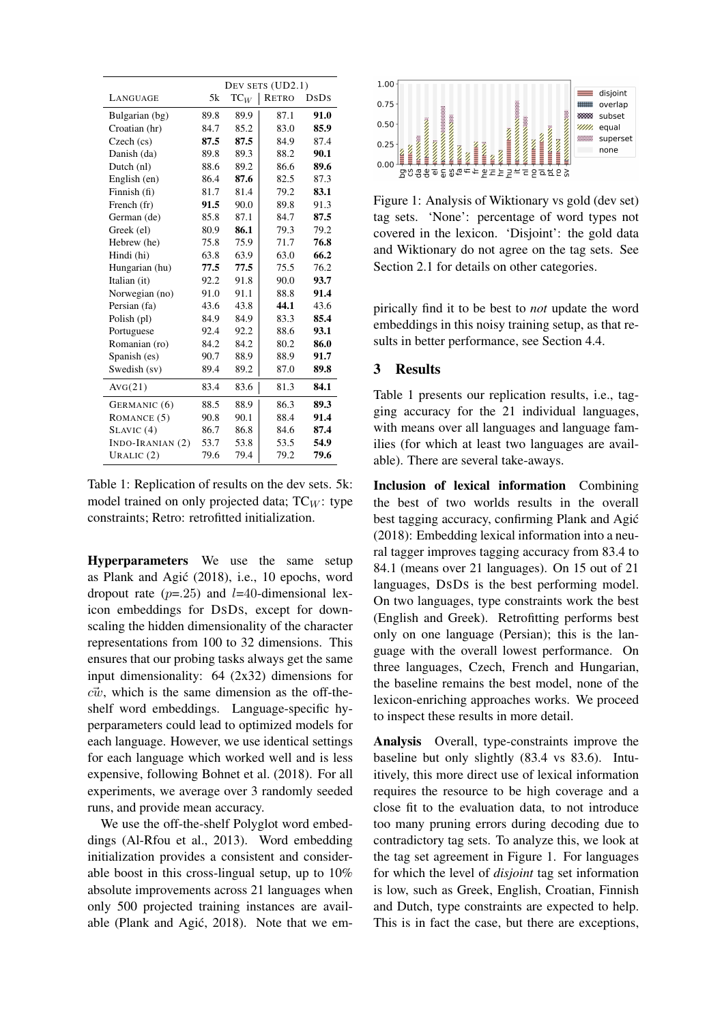|                   | DEV SETS (UD2.1) |                 |       |      |
|-------------------|------------------|-----------------|-------|------|
| LANGUAGE          | 5k               | $\mathrm{TC}_W$ | RETRO | DsDs |
| Bulgarian (bg)    | 89.8             | 89.9            | 87.1  | 91.0 |
| Croatian (hr)     | 84.7             | 85.2            | 83.0  | 85.9 |
| Czech (cs)        | 87.5             | 87.5            | 84.9  | 87.4 |
| Danish (da)       | 89.8             | 89.3            | 88.2  | 90.1 |
| Dutch (nl)        | 88.6             | 89.2            | 86.6  | 89.6 |
| English (en)      | 86.4             | 87.6            | 82.5  | 87.3 |
| Finnish (fi)      | 81.7             | 81.4            | 79.2  | 83.1 |
| French (fr)       | 91.5             | 90.0            | 89.8  | 91.3 |
| German (de)       | 85.8             | 87.1            | 84.7  | 87.5 |
| Greek (el)        | 80.9             | 86.1            | 79.3  | 79.2 |
| Hebrew (he)       | 75.8             | 75.9            | 71.7  | 76.8 |
| Hindi (hi)        | 63.8             | 63.9            | 63.0  | 66.2 |
| Hungarian (hu)    | 77.5             | 77.5            | 75.5  | 76.2 |
| Italian (it)      | 92.2             | 91.8            | 90.0  | 93.7 |
| Norwegian (no)    | 91.0             | 91.1            | 88.8  | 91.4 |
| Persian (fa)      | 43.6             | 43.8            | 44.1  | 43.6 |
| Polish (pl)       | 84.9             | 84.9            | 83.3  | 85.4 |
| Portuguese        | 92.4             | 92.2            | 88.6  | 93.1 |
| Romanian (ro)     | 84.2             | 84.2            | 80.2  | 86.0 |
| Spanish (es)      | 90.7             | 88.9            | 88.9  | 91.7 |
| Swedish (sv)      | 89.4             | 89.2            | 87.0  | 89.8 |
| AVG(21)           | 83.4             | 83.6            | 81.3  | 84.1 |
| GERMANIC (6)      | 88.5             | 88.9            | 86.3  | 89.3 |
| ROMANCE (5)       | 90.8             | 90.1            | 88.4  | 91.4 |
| SLAVIC(4)         | 86.7             | 86.8            | 84.6  | 87.4 |
| $INDO-IRANIAN(2)$ | 53.7             | 53.8            | 53.5  | 54.9 |
| URALIC $(2)$      | 79.6             | 79.4            | 79.2  | 79.6 |

Table 1: Replication of results on the dev sets. 5k: model trained on only projected data;  $TC_W$ : type constraints; Retro: retrofitted initialization.

Hyperparameters We use the same setup as Plank and Agic (2018), i.e., 10 epochs, word ´ dropout rate  $(p=.25)$  and  $l=40$ -dimensional lexicon embeddings for DSDS, except for downscaling the hidden dimensionality of the character representations from 100 to 32 dimensions. This ensures that our probing tasks always get the same input dimensionality: 64 (2x32) dimensions for  $c\vec{w}$ , which is the same dimension as the off-theshelf word embeddings. Language-specific hyperparameters could lead to optimized models for each language. However, we use identical settings for each language which worked well and is less expensive, following Bohnet et al. (2018). For all experiments, we average over 3 randomly seeded runs, and provide mean accuracy.

We use the off-the-shelf Polyglot word embeddings (Al-Rfou et al., 2013). Word embedding initialization provides a consistent and considerable boost in this cross-lingual setup, up to 10% absolute improvements across 21 languages when only 500 projected training instances are available (Plank and Agić, 2018). Note that we em-



Figure 1: Analysis of Wiktionary vs gold (dev set) tag sets. 'None': percentage of word types not covered in the lexicon. 'Disjoint': the gold data and Wiktionary do not agree on the tag sets. See Section 2.1 for details on other categories.

pirically find it to be best to *not* update the word embeddings in this noisy training setup, as that results in better performance, see Section 4.4.

# 3 Results

Table 1 presents our replication results, i.e., tagging accuracy for the 21 individual languages, with means over all languages and language families (for which at least two languages are available). There are several take-aways.

Inclusion of lexical information Combining the best of two worlds results in the overall best tagging accuracy, confirming Plank and Agić (2018): Embedding lexical information into a neural tagger improves tagging accuracy from 83.4 to 84.1 (means over 21 languages). On 15 out of 21 languages, DSDS is the best performing model. On two languages, type constraints work the best (English and Greek). Retrofitting performs best only on one language (Persian); this is the language with the overall lowest performance. On three languages, Czech, French and Hungarian, the baseline remains the best model, none of the lexicon-enriching approaches works. We proceed to inspect these results in more detail.

Analysis Overall, type-constraints improve the baseline but only slightly (83.4 vs 83.6). Intuitively, this more direct use of lexical information requires the resource to be high coverage and a close fit to the evaluation data, to not introduce too many pruning errors during decoding due to contradictory tag sets. To analyze this, we look at the tag set agreement in Figure 1. For languages for which the level of *disjoint* tag set information is low, such as Greek, English, Croatian, Finnish and Dutch, type constraints are expected to help. This is in fact the case, but there are exceptions,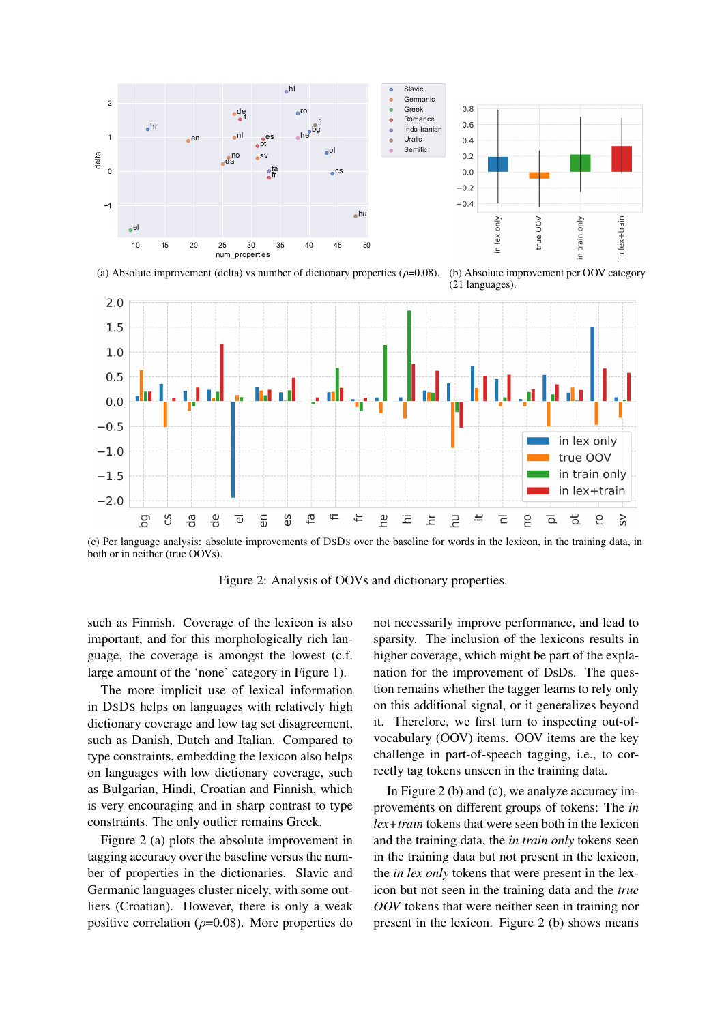

(a) Absolute improvement (delta) vs number of dictionary properties ( $\rho$ =0.08). (b) Absolute improvement per OOV category (21 languages).



(c) Per language analysis: absolute improvements of DSDS over the baseline for words in the lexicon, in the training data, in both or in neither (true OOVs).

Figure 2: Analysis of OOVs and dictionary properties.

such as Finnish. Coverage of the lexicon is also important, and for this morphologically rich language, the coverage is amongst the lowest (c.f. large amount of the 'none' category in Figure 1).

The more implicit use of lexical information in DSDS helps on languages with relatively high dictionary coverage and low tag set disagreement, such as Danish, Dutch and Italian. Compared to type constraints, embedding the lexicon also helps on languages with low dictionary coverage, such as Bulgarian, Hindi, Croatian and Finnish, which is very encouraging and in sharp contrast to type constraints. The only outlier remains Greek.

Figure 2 (a) plots the absolute improvement in tagging accuracy over the baseline versus the number of properties in the dictionaries. Slavic and Germanic languages cluster nicely, with some outliers (Croatian). However, there is only a weak positive correlation ( $\rho$ =0.08). More properties do

not necessarily improve performance, and lead to sparsity. The inclusion of the lexicons results in higher coverage, which might be part of the explanation for the improvement of DsDs. The question remains whether the tagger learns to rely only on this additional signal, or it generalizes beyond it. Therefore, we first turn to inspecting out-ofvocabulary (OOV) items. OOV items are the key challenge in part-of-speech tagging, i.e., to correctly tag tokens unseen in the training data.

In Figure 2 (b) and (c), we analyze accuracy improvements on different groups of tokens: The *in lex+train* tokens that were seen both in the lexicon and the training data, the *in train only* tokens seen in the training data but not present in the lexicon, the *in lex only* tokens that were present in the lexicon but not seen in the training data and the *true OOV* tokens that were neither seen in training nor present in the lexicon. Figure 2 (b) shows means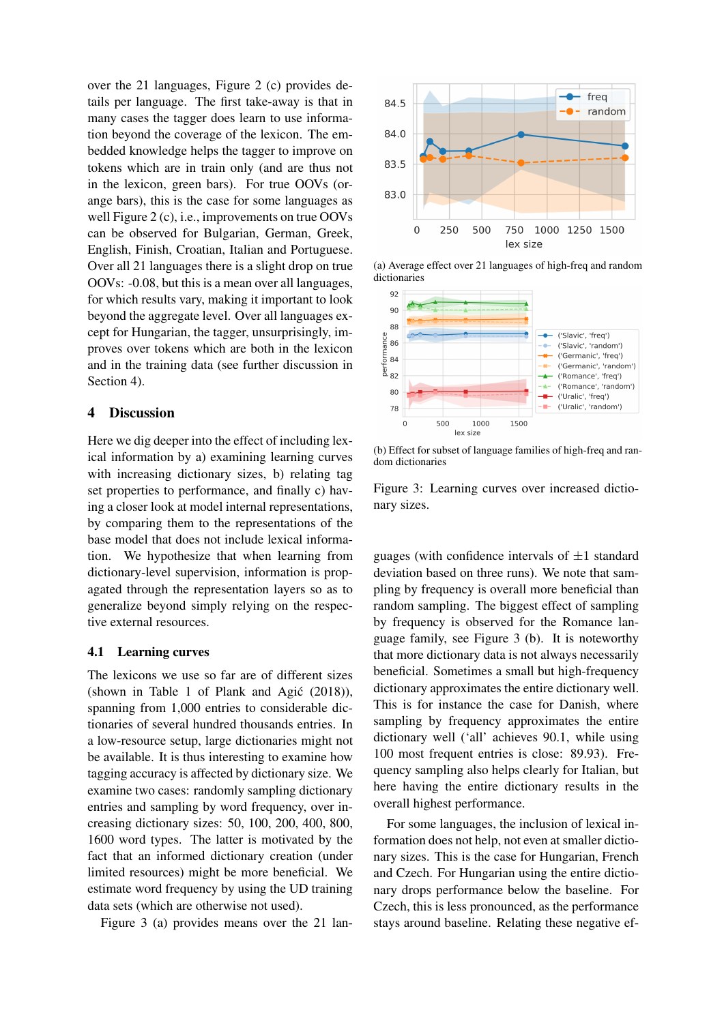over the 21 languages, Figure 2 (c) provides details per language. The first take-away is that in many cases the tagger does learn to use information beyond the coverage of the lexicon. The embedded knowledge helps the tagger to improve on tokens which are in train only (and are thus not in the lexicon, green bars). For true OOVs (orange bars), this is the case for some languages as well Figure 2 (c), i.e., improvements on true OOVs can be observed for Bulgarian, German, Greek, English, Finish, Croatian, Italian and Portuguese. Over all 21 languages there is a slight drop on true OOVs: -0.08, but this is a mean over all languages, for which results vary, making it important to look beyond the aggregate level. Over all languages except for Hungarian, the tagger, unsurprisingly, improves over tokens which are both in the lexicon and in the training data (see further discussion in Section 4).

## 4 Discussion

Here we dig deeper into the effect of including lexical information by a) examining learning curves with increasing dictionary sizes, b) relating tag set properties to performance, and finally c) having a closer look at model internal representations, by comparing them to the representations of the base model that does not include lexical information. We hypothesize that when learning from dictionary-level supervision, information is propagated through the representation layers so as to generalize beyond simply relying on the respective external resources.

#### 4.1 Learning curves

The lexicons we use so far are of different sizes (shown in Table 1 of Plank and Agić  $(2018)$ ), spanning from 1,000 entries to considerable dictionaries of several hundred thousands entries. In a low-resource setup, large dictionaries might not be available. It is thus interesting to examine how tagging accuracy is affected by dictionary size. We examine two cases: randomly sampling dictionary entries and sampling by word frequency, over increasing dictionary sizes: 50, 100, 200, 400, 800, 1600 word types. The latter is motivated by the fact that an informed dictionary creation (under limited resources) might be more beneficial. We estimate word frequency by using the UD training data sets (which are otherwise not used).

Figure 3 (a) provides means over the 21 lan-



(a) Average effect over 21 languages of high-freq and random dictionaries



(b) Effect for subset of language families of high-freq and random dictionaries

Figure 3: Learning curves over increased dictionary sizes.

guages (with confidence intervals of  $\pm 1$  standard deviation based on three runs). We note that sampling by frequency is overall more beneficial than random sampling. The biggest effect of sampling by frequency is observed for the Romance language family, see Figure 3 (b). It is noteworthy that more dictionary data is not always necessarily beneficial. Sometimes a small but high-frequency dictionary approximates the entire dictionary well. This is for instance the case for Danish, where sampling by frequency approximates the entire dictionary well ('all' achieves 90.1, while using 100 most frequent entries is close: 89.93). Frequency sampling also helps clearly for Italian, but here having the entire dictionary results in the overall highest performance.

For some languages, the inclusion of lexical information does not help, not even at smaller dictionary sizes. This is the case for Hungarian, French and Czech. For Hungarian using the entire dictionary drops performance below the baseline. For Czech, this is less pronounced, as the performance stays around baseline. Relating these negative ef-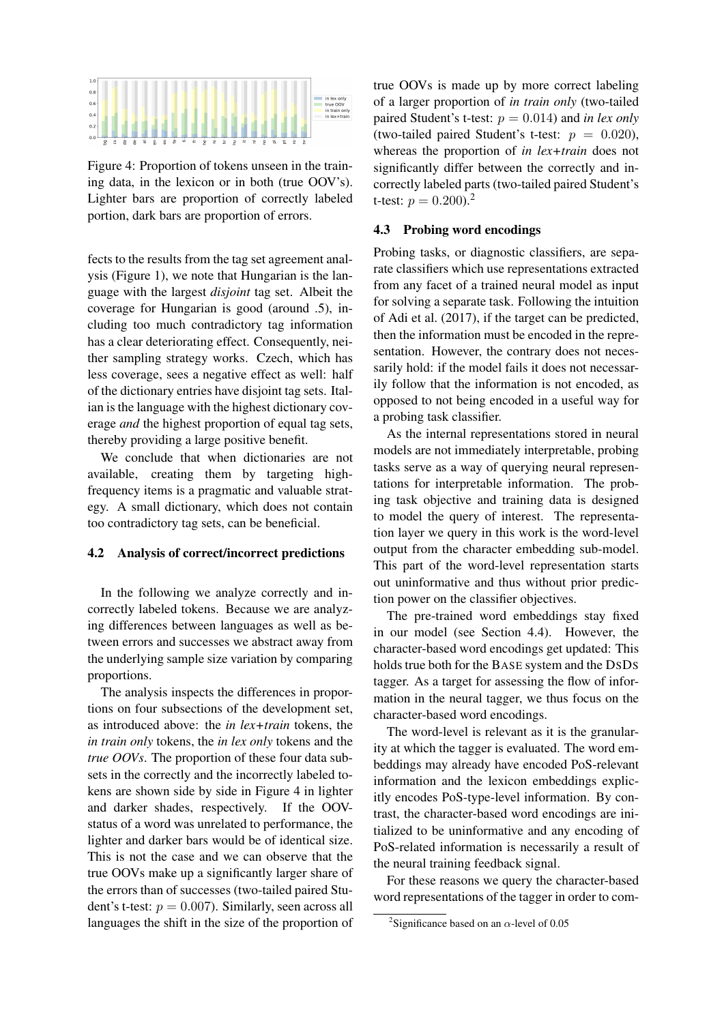

Figure 4: Proportion of tokens unseen in the training data, in the lexicon or in both (true OOV's). Lighter bars are proportion of correctly labeled portion, dark bars are proportion of errors.

fects to the results from the tag set agreement analysis (Figure 1), we note that Hungarian is the language with the largest *disjoint* tag set. Albeit the coverage for Hungarian is good (around .5), including too much contradictory tag information has a clear deteriorating effect. Consequently, neither sampling strategy works. Czech, which has less coverage, sees a negative effect as well: half of the dictionary entries have disjoint tag sets. Italian is the language with the highest dictionary coverage *and* the highest proportion of equal tag sets, thereby providing a large positive benefit.

We conclude that when dictionaries are not available, creating them by targeting highfrequency items is a pragmatic and valuable strategy. A small dictionary, which does not contain too contradictory tag sets, can be beneficial.

## 4.2 Analysis of correct/incorrect predictions

In the following we analyze correctly and incorrectly labeled tokens. Because we are analyzing differences between languages as well as between errors and successes we abstract away from the underlying sample size variation by comparing proportions.

The analysis inspects the differences in proportions on four subsections of the development set, as introduced above: the *in lex+train* tokens, the *in train only* tokens, the *in lex only* tokens and the *true OOVs*. The proportion of these four data subsets in the correctly and the incorrectly labeled tokens are shown side by side in Figure 4 in lighter and darker shades, respectively. If the OOVstatus of a word was unrelated to performance, the lighter and darker bars would be of identical size. This is not the case and we can observe that the true OOVs make up a significantly larger share of the errors than of successes (two-tailed paired Student's t-test:  $p = 0.007$ . Similarly, seen across all languages the shift in the size of the proportion of true OOVs is made up by more correct labeling of a larger proportion of *in train only* (two-tailed paired Student's t-test:  $p = 0.014$ ) and *in lex only* (two-tailed paired Student's t-test:  $p = 0.020$ ), whereas the proportion of *in lex+train* does not significantly differ between the correctly and incorrectly labeled parts (two-tailed paired Student's t-test:  $p = 0.200$ .<sup>2</sup>

#### 4.3 Probing word encodings

Probing tasks, or diagnostic classifiers, are separate classifiers which use representations extracted from any facet of a trained neural model as input for solving a separate task. Following the intuition of Adi et al. (2017), if the target can be predicted, then the information must be encoded in the representation. However, the contrary does not necessarily hold: if the model fails it does not necessarily follow that the information is not encoded, as opposed to not being encoded in a useful way for a probing task classifier.

As the internal representations stored in neural models are not immediately interpretable, probing tasks serve as a way of querying neural representations for interpretable information. The probing task objective and training data is designed to model the query of interest. The representation layer we query in this work is the word-level output from the character embedding sub-model. This part of the word-level representation starts out uninformative and thus without prior prediction power on the classifier objectives.

The pre-trained word embeddings stay fixed in our model (see Section 4.4). However, the character-based word encodings get updated: This holds true both for the BASE system and the DSDS tagger. As a target for assessing the flow of information in the neural tagger, we thus focus on the character-based word encodings.

The word-level is relevant as it is the granularity at which the tagger is evaluated. The word embeddings may already have encoded PoS-relevant information and the lexicon embeddings explicitly encodes PoS-type-level information. By contrast, the character-based word encodings are initialized to be uninformative and any encoding of PoS-related information is necessarily a result of the neural training feedback signal.

For these reasons we query the character-based word representations of the tagger in order to com-

<sup>&</sup>lt;sup>2</sup>Significance based on an  $\alpha$ -level of 0.05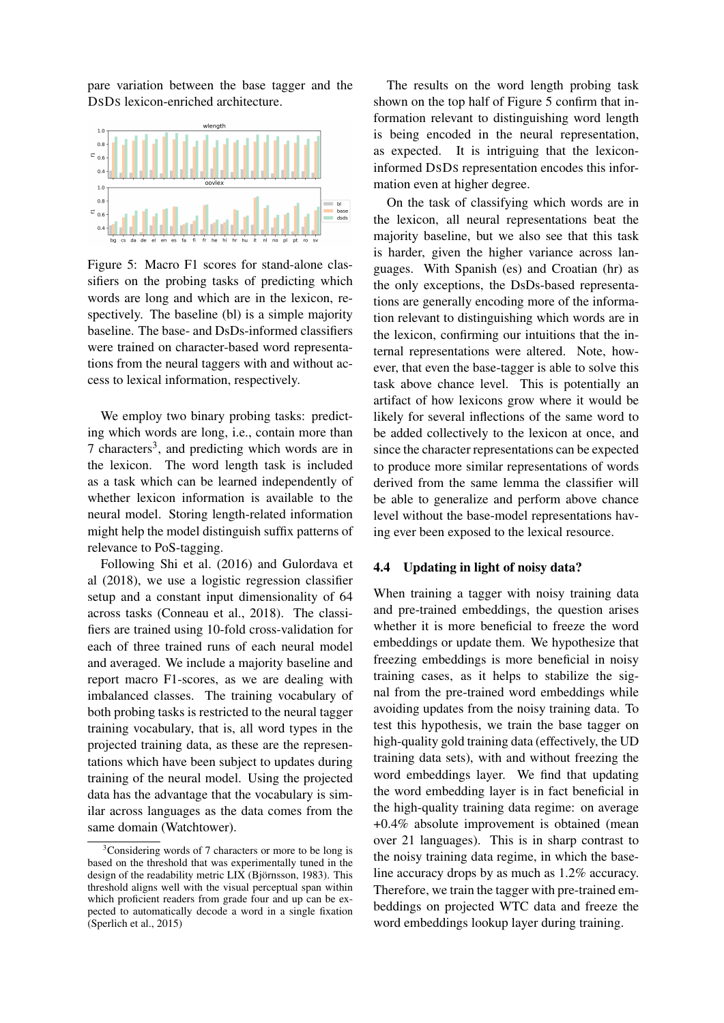pare variation between the base tagger and the DSDS lexicon-enriched architecture.



Figure 5: Macro F1 scores for stand-alone classifiers on the probing tasks of predicting which words are long and which are in the lexicon, respectively. The baseline (bl) is a simple majority baseline. The base- and DsDs-informed classifiers were trained on character-based word representations from the neural taggers with and without access to lexical information, respectively.

We employ two binary probing tasks: predicting which words are long, i.e., contain more than 7 characters<sup>3</sup>, and predicting which words are in the lexicon. The word length task is included as a task which can be learned independently of whether lexicon information is available to the neural model. Storing length-related information might help the model distinguish suffix patterns of relevance to PoS-tagging.

Following Shi et al. (2016) and Gulordava et al (2018), we use a logistic regression classifier setup and a constant input dimensionality of 64 across tasks (Conneau et al., 2018). The classifiers are trained using 10-fold cross-validation for each of three trained runs of each neural model and averaged. We include a majority baseline and report macro F1-scores, as we are dealing with imbalanced classes. The training vocabulary of both probing tasks is restricted to the neural tagger training vocabulary, that is, all word types in the projected training data, as these are the representations which have been subject to updates during training of the neural model. Using the projected data has the advantage that the vocabulary is similar across languages as the data comes from the same domain (Watchtower).

The results on the word length probing task shown on the top half of Figure 5 confirm that information relevant to distinguishing word length is being encoded in the neural representation, as expected. It is intriguing that the lexiconinformed DSDS representation encodes this information even at higher degree.

On the task of classifying which words are in the lexicon, all neural representations beat the majority baseline, but we also see that this task is harder, given the higher variance across languages. With Spanish (es) and Croatian (hr) as the only exceptions, the DsDs-based representations are generally encoding more of the information relevant to distinguishing which words are in the lexicon, confirming our intuitions that the internal representations were altered. Note, however, that even the base-tagger is able to solve this task above chance level. This is potentially an artifact of how lexicons grow where it would be likely for several inflections of the same word to be added collectively to the lexicon at once, and since the character representations can be expected to produce more similar representations of words derived from the same lemma the classifier will be able to generalize and perform above chance level without the base-model representations having ever been exposed to the lexical resource.

#### 4.4 Updating in light of noisy data?

When training a tagger with noisy training data and pre-trained embeddings, the question arises whether it is more beneficial to freeze the word embeddings or update them. We hypothesize that freezing embeddings is more beneficial in noisy training cases, as it helps to stabilize the signal from the pre-trained word embeddings while avoiding updates from the noisy training data. To test this hypothesis, we train the base tagger on high-quality gold training data (effectively, the UD training data sets), with and without freezing the word embeddings layer. We find that updating the word embedding layer is in fact beneficial in the high-quality training data regime: on average +0.4% absolute improvement is obtained (mean over 21 languages). This is in sharp contrast to the noisy training data regime, in which the baseline accuracy drops by as much as 1.2% accuracy. Therefore, we train the tagger with pre-trained embeddings on projected WTC data and freeze the word embeddings lookup layer during training.

 $3$ Considering words of 7 characters or more to be long is based on the threshold that was experimentally tuned in the design of the readability metric LIX (Björnsson, 1983). This threshold aligns well with the visual perceptual span within which proficient readers from grade four and up can be expected to automatically decode a word in a single fixation (Sperlich et al., 2015)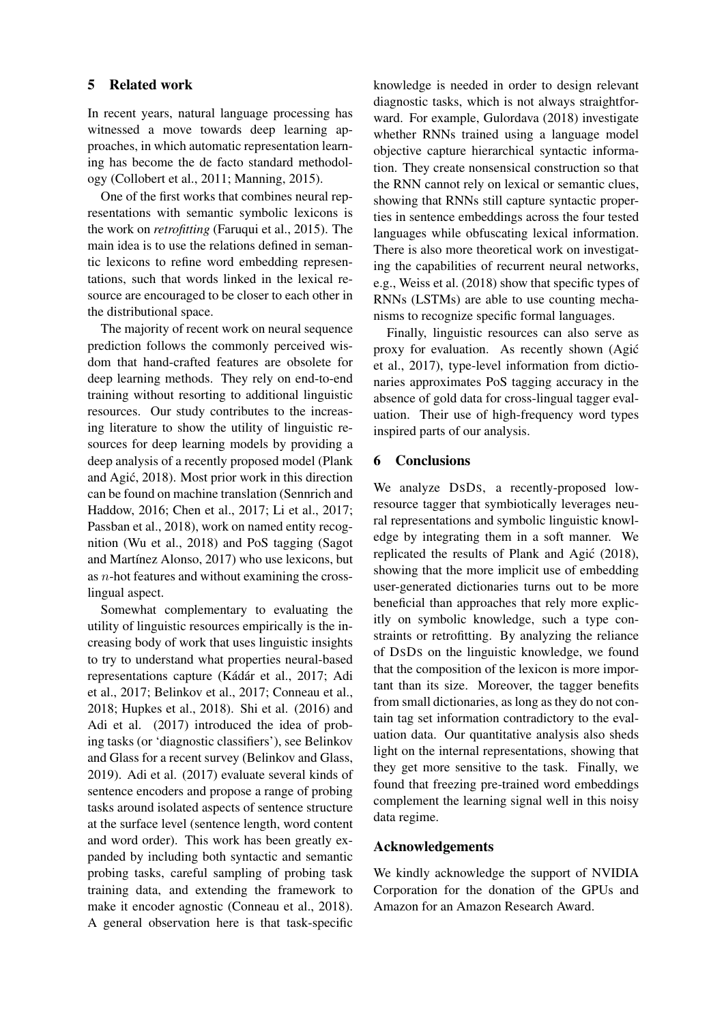## 5 Related work

In recent years, natural language processing has witnessed a move towards deep learning approaches, in which automatic representation learning has become the de facto standard methodology (Collobert et al., 2011; Manning, 2015).

One of the first works that combines neural representations with semantic symbolic lexicons is the work on *retrofitting* (Faruqui et al., 2015). The main idea is to use the relations defined in semantic lexicons to refine word embedding representations, such that words linked in the lexical resource are encouraged to be closer to each other in the distributional space.

The majority of recent work on neural sequence prediction follows the commonly perceived wisdom that hand-crafted features are obsolete for deep learning methods. They rely on end-to-end training without resorting to additional linguistic resources. Our study contributes to the increasing literature to show the utility of linguistic resources for deep learning models by providing a deep analysis of a recently proposed model (Plank and Agic, 2018). Most prior work in this direction ´ can be found on machine translation (Sennrich and Haddow, 2016; Chen et al., 2017; Li et al., 2017; Passban et al., 2018), work on named entity recognition (Wu et al., 2018) and PoS tagging (Sagot and Martínez Alonso, 2017) who use lexicons, but as n-hot features and without examining the crosslingual aspect.

Somewhat complementary to evaluating the utility of linguistic resources empirically is the increasing body of work that uses linguistic insights to try to understand what properties neural-based representations capture (Kádár et al., 2017; Adi et al., 2017; Belinkov et al., 2017; Conneau et al., 2018; Hupkes et al., 2018). Shi et al. (2016) and Adi et al. (2017) introduced the idea of probing tasks (or 'diagnostic classifiers'), see Belinkov and Glass for a recent survey (Belinkov and Glass, 2019). Adi et al. (2017) evaluate several kinds of sentence encoders and propose a range of probing tasks around isolated aspects of sentence structure at the surface level (sentence length, word content and word order). This work has been greatly expanded by including both syntactic and semantic probing tasks, careful sampling of probing task training data, and extending the framework to make it encoder agnostic (Conneau et al., 2018). A general observation here is that task-specific knowledge is needed in order to design relevant diagnostic tasks, which is not always straightforward. For example, Gulordava (2018) investigate whether RNNs trained using a language model objective capture hierarchical syntactic information. They create nonsensical construction so that the RNN cannot rely on lexical or semantic clues, showing that RNNs still capture syntactic properties in sentence embeddings across the four tested languages while obfuscating lexical information. There is also more theoretical work on investigating the capabilities of recurrent neural networks, e.g., Weiss et al. (2018) show that specific types of RNNs (LSTMs) are able to use counting mechanisms to recognize specific formal languages.

Finally, linguistic resources can also serve as proxy for evaluation. As recently shown (Agic´ et al., 2017), type-level information from dictionaries approximates PoS tagging accuracy in the absence of gold data for cross-lingual tagger evaluation. Their use of high-frequency word types inspired parts of our analysis.

# 6 Conclusions

We analyze DSDS, a recently-proposed lowresource tagger that symbiotically leverages neural representations and symbolic linguistic knowledge by integrating them in a soft manner. We replicated the results of Plank and Agić (2018), showing that the more implicit use of embedding user-generated dictionaries turns out to be more beneficial than approaches that rely more explicitly on symbolic knowledge, such a type constraints or retrofitting. By analyzing the reliance of DSDS on the linguistic knowledge, we found that the composition of the lexicon is more important than its size. Moreover, the tagger benefits from small dictionaries, as long as they do not contain tag set information contradictory to the evaluation data. Our quantitative analysis also sheds light on the internal representations, showing that they get more sensitive to the task. Finally, we found that freezing pre-trained word embeddings complement the learning signal well in this noisy data regime.

## Acknowledgements

We kindly acknowledge the support of NVIDIA Corporation for the donation of the GPUs and Amazon for an Amazon Research Award.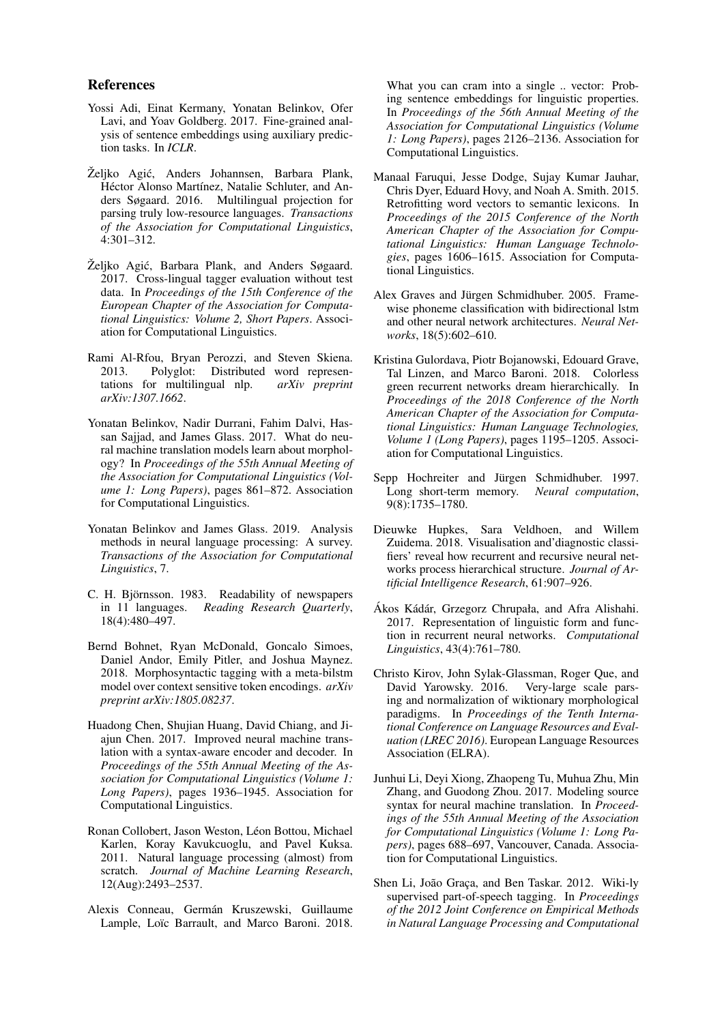#### References

- Yossi Adi, Einat Kermany, Yonatan Belinkov, Ofer Lavi, and Yoav Goldberg. 2017. Fine-grained analysis of sentence embeddings using auxiliary prediction tasks. In *ICLR*.
- Željko Agić, Anders Johannsen, Barbara Plank, Héctor Alonso Martínez, Natalie Schluter, and Anders Søgaard. 2016. Multilingual projection for parsing truly low-resource languages. *Transactions of the Association for Computational Linguistics*, 4:301–312.
- Željko Agić, Barbara Plank, and Anders Søgaard. 2017. Cross-lingual tagger evaluation without test data. In *Proceedings of the 15th Conference of the European Chapter of the Association for Computational Linguistics: Volume 2, Short Papers*. Association for Computational Linguistics.
- Rami Al-Rfou, Bryan Perozzi, and Steven Skiena. 2013. Polyglot: Distributed word representations for multilingual nlp. *arXiv preprint arXiv:1307.1662*.
- Yonatan Belinkov, Nadir Durrani, Fahim Dalvi, Hassan Sajjad, and James Glass. 2017. What do neural machine translation models learn about morphology? In *Proceedings of the 55th Annual Meeting of the Association for Computational Linguistics (Volume 1: Long Papers)*, pages 861–872. Association for Computational Linguistics.
- Yonatan Belinkov and James Glass. 2019. Analysis methods in neural language processing: A survey. *Transactions of the Association for Computational Linguistics*, 7.
- C. H. Björnsson. 1983. Readability of newspapers in 11 languages. Reading Research Ouarterly, in 11 languages. *Reading Research Quarterly*, 18(4):480–497.
- Bernd Bohnet, Ryan McDonald, Goncalo Simoes, Daniel Andor, Emily Pitler, and Joshua Maynez. 2018. Morphosyntactic tagging with a meta-bilstm model over context sensitive token encodings. *arXiv preprint arXiv:1805.08237*.
- Huadong Chen, Shujian Huang, David Chiang, and Jiajun Chen. 2017. Improved neural machine translation with a syntax-aware encoder and decoder. In *Proceedings of the 55th Annual Meeting of the Association for Computational Linguistics (Volume 1: Long Papers)*, pages 1936–1945. Association for Computational Linguistics.
- Ronan Collobert, Jason Weston, Léon Bottou, Michael Karlen, Koray Kavukcuoglu, and Pavel Kuksa. 2011. Natural language processing (almost) from scratch. *Journal of Machine Learning Research*, 12(Aug):2493–2537.
- Alexis Conneau, Germán Kruszewski, Guillaume Lample, Loïc Barrault, and Marco Baroni. 2018.

What you can cram into a single .. vector: Probing sentence embeddings for linguistic properties. In *Proceedings of the 56th Annual Meeting of the Association for Computational Linguistics (Volume 1: Long Papers)*, pages 2126–2136. Association for Computational Linguistics.

- Manaal Faruqui, Jesse Dodge, Sujay Kumar Jauhar, Chris Dyer, Eduard Hovy, and Noah A. Smith. 2015. Retrofitting word vectors to semantic lexicons. In *Proceedings of the 2015 Conference of the North American Chapter of the Association for Computational Linguistics: Human Language Technologies*, pages 1606–1615. Association for Computational Linguistics.
- Alex Graves and Jürgen Schmidhuber. 2005. Framewise phoneme classification with bidirectional lstm and other neural network architectures. *Neural Networks*, 18(5):602–610.
- Kristina Gulordava, Piotr Bojanowski, Edouard Grave, Tal Linzen, and Marco Baroni. 2018. Colorless green recurrent networks dream hierarchically. In *Proceedings of the 2018 Conference of the North American Chapter of the Association for Computational Linguistics: Human Language Technologies, Volume 1 (Long Papers)*, pages 1195–1205. Association for Computational Linguistics.
- Sepp Hochreiter and Jürgen Schmidhuber. 1997. Long short-term memory. *Neural computation*, 9(8):1735–1780.
- Dieuwke Hupkes, Sara Veldhoen, and Willem Zuidema. 2018. Visualisation and'diagnostic classifiers' reveal how recurrent and recursive neural networks process hierarchical structure. *Journal of Artificial Intelligence Research*, 61:907–926.
- Ákos Kádár, Grzegorz Chrupała, and Afra Alishahi. 2017. Representation of linguistic form and function in recurrent neural networks. *Computational Linguistics*, 43(4):761–780.
- Christo Kirov, John Sylak-Glassman, Roger Que, and David Yarowsky. 2016. Very-large scale parsing and normalization of wiktionary morphological paradigms. In *Proceedings of the Tenth International Conference on Language Resources and Evaluation (LREC 2016)*. European Language Resources Association (ELRA).
- Junhui Li, Deyi Xiong, Zhaopeng Tu, Muhua Zhu, Min Zhang, and Guodong Zhou. 2017. Modeling source syntax for neural machine translation. In *Proceedings of the 55th Annual Meeting of the Association for Computational Linguistics (Volume 1: Long Papers)*, pages 688–697, Vancouver, Canada. Association for Computational Linguistics.
- Shen Li, João Graca, and Ben Taskar. 2012. Wiki-ly supervised part-of-speech tagging. In *Proceedings of the 2012 Joint Conference on Empirical Methods in Natural Language Processing and Computational*